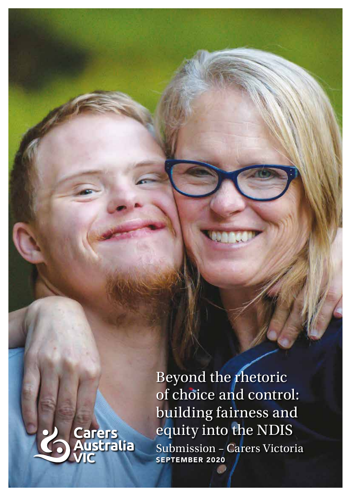Beyond the rhetoric of choice and control: building fairness and equity into the NDIS Submission – Carers Victoria SEPTEMBER 2020

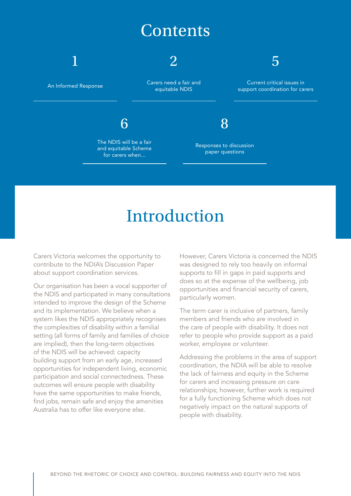### **Contents**



# Introduction

Carers Victoria welcomes the opportunity to contribute to the NDIA's Discussion Paper about support coordination services.

Our organisation has been a vocal supporter of the NDIS and participated in many consultations intended to improve the design of the Scheme and its implementation. We believe when a system likes the NDIS appropriately recognises the complexities of disability within a familial setting (all forms of family and families of choice are implied), then the long-term objectives of the NDIS will be achieved: capacity building support from an early age, increased opportunities for independent living, economic participation and social connectedness. These outcomes will ensure people with disability have the same opportunities to make friends, find jobs, remain safe and enjoy the amenities Australia has to offer like everyone else.

However, Carers Victoria is concerned the NDIS was designed to rely too heavily on informal supports to fill in gaps in paid supports and does so at the expense of the wellbeing, job opportunities and financial security of carers, particularly women.

The term carer is inclusive of partners, family members and friends who are involved in the care of people with disability. It does not refer to people who provide support as a paid worker, employee or volunteer.

Addressing the problems in the area of support coordination, the NDIA will be able to resolve the lack of fairness and equity in the Scheme for carers and increasing pressure on care relationships; however, further work is required for a fully functioning Scheme which does not negatively impact on the natural supports of people with disability.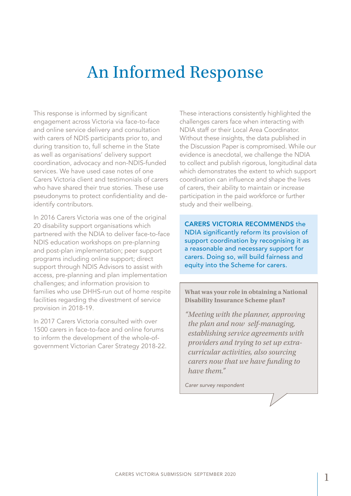## An Informed Response

This response is informed by significant engagement across Victoria via face-to-face and online service delivery and consultation with carers of NDIS participants prior to, and during transition to, full scheme in the State as well as organisations' delivery support coordination, advocacy and non-NDIS-funded services. We have used case notes of one Carers Victoria client and testimonials of carers who have shared their true stories. These use pseudonyms to protect confidentiality and deidentify contributors.

In 2016 Carers Victoria was one of the original 20 disability support organisations which partnered with the NDIA to deliver face-to-face NDIS education workshops on pre-planning and post-plan implementation; peer support programs including online support; direct support through NDIS Advisors to assist with access, pre-planning and plan implementation challenges; and information provision to families who use DHHS-run out of home respite facilities regarding the divestment of service provision in 2018-19.

In 2017 Carers Victoria consulted with over 1500 carers in face-to-face and online forums to inform the development of the whole-ofgovernment Victorian Carer Strategy 2018-22. These interactions consistently highlighted the challenges carers face when interacting with NDIA staff or their Local Area Coordinator. Without these insights, the data published in the Discussion Paper is compromised. While our evidence is anecdotal, we challenge the NDIA to collect and publish rigorous, longitudinal data which demonstrates the extent to which support coordination can influence and shape the lives of carers, their ability to maintain or increase participation in the paid workforce or further study and their wellbeing.

CARERS VICTORIA RECOMMENDS the NDIA significantly reform its provision of support coordination by recognising it as a reasonable and necessary support for carers. Doing so, will build fairness and equity into the Scheme for carers.

**What was your role in obtaining a National Disability Insurance Scheme plan?** 

*"Meeting with the planner, approving the plan and now self-managing, establishing service agreements with providers and trying to set up extracurricular activities, also sourcing carers now that we have funding to have them."*

*Carer survey respondent*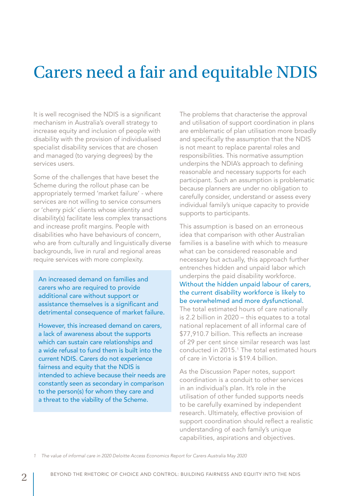### Carers need a fair and equitable NDIS

It is well recognised the NDIS is a significant mechanism in Australia's overall strategy to increase equity and inclusion of people with disability with the provision of individualised specialist disability services that are chosen and managed (to varying degrees) by the services users.

Some of the challenges that have beset the Scheme during the rollout phase can be appropriately termed 'market failure' - where services are not willing to service consumers or 'cherry pick' clients whose identity and disability(s) facilitate less complex transactions and increase profit margins. People with disabilities who have behaviours of concern, who are from culturally and linguistically diverse backgrounds, live in rural and regional areas require services with more complexity.

An increased demand on families and carers who are required to provide additional care without support or assistance themselves is a significant and detrimental consequence of market failure.

However, this increased demand on carers, a lack of awareness about the supports which can sustain care relationships and a wide refusal to fund them is built into the current NDIS. Carers do not experience fairness and equity that the NDIS is intended to achieve because their needs are constantly seen as secondary in comparison to the person(s) for whom they care and a threat to the viability of the Scheme.

The problems that characterise the approval and utilisation of support coordination in plans are emblematic of plan utilisation more broadly and specifically the assumption that the NDIS is not meant to replace parental roles and responsibilities. This normative assumption underpins the NDIA's approach to defining reasonable and necessary supports for each participant. Such an assumption is problematic because planners are under no obligation to carefully consider, understand or assess every individual family's unique capacity to provide supports to participants.

This assumption is based on an erroneous idea that comparison with other Australian families is a baseline with which to measure what can be considered reasonable and necessary but actually, this approach further entrenches hidden and unpaid labor which underpins the paid disability workforce. Without the hidden unpaid labour of carers, the current disability workforce is likely to be overwhelmed and more dysfunctional.

The total estimated hours of care nationally is 2.2 billion in 2020 – this equates to a total national replacement of all informal care of \$77,910.7 billion. This reflects an increase of 29 per cent since similar research was last conducted in 2015.1 The total estimated hours of care in Victoria is \$19.4 billion.

As the Discussion Paper notes, support coordination is a conduit to other services in an individual's plan. It's role in the utilisation of other funded supports needs to be carefully examined by independent research. Ultimately, effective provision of support coordination should reflect a realistic understanding of each family's unique capabilities, aspirations and objectives.

*1 The value of informal care in 2020 Deloitte Access Economics Report for Carers Australia May 2020*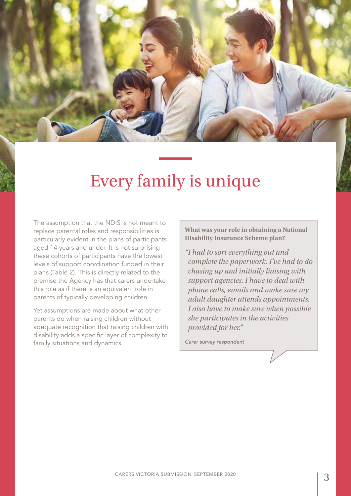

### Every family is unique

The assumption that the NDIS is not meant to replace parental roles and responsibilities is particularly evident in the plans of participants aged 14 years and under. It is not surprising these cohorts of participants have the lowest levels of support coordination funded in their plans (Table 2). This is directly related to the premise the Agency has that carers undertake this role as if there is an equivalent role in parents of typically developing children.

Yet assumptions are made about what other parents do when raising children without adequate recognition that raising children with disability adds a specific layer of complexity to family situations and dynamics.

**What was your role in obtaining a National Disability Insurance Scheme plan?** 

*"I had to sort everything out and complete the paperwork. I've had to do chasing up and initially liaising with support agencies. I have to deal with phone calls, emails and make sure my adult daughter attends appointments. I also have to make sure when possible she participates in the activities provided for her."*

*Carer survey respondent*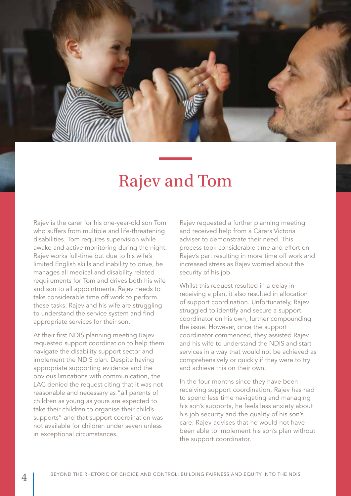

### Rajev and Tom

Rajev is the carer for his one-year-old son Tom who suffers from multiple and life-threatening disabilities. Tom requires supervision while awake and active monitoring during the night. Rajev works full-time but due to his wife's limited English skills and inability to drive, he manages all medical and disability related requirements for Tom and drives both his wife and son to all appointments. Rajev needs to take considerable time off work to perform these tasks. Rajev and his wife are struggling to understand the service system and find appropriate services for their son.

At their first NDIS planning meeting Rajev requested support coordination to help them navigate the disability support sector and implement the NDIS plan. Despite having appropriate supporting evidence and the obvious limitations with communication, the LAC denied the request citing that it was not reasonable and necessary as "all parents of children as young as yours are expected to take their children to organise their child's supports" and that support coordination was not available for children under seven unless in exceptional circumstances.

Rajev requested a further planning meeting and received help from a Carers Victoria adviser to demonstrate their need. This process took considerable time and effort on Rajev's part resulting in more time off work and increased stress as Rajev worried about the security of his job.

Whilst this request resulted in a delay in receiving a plan, it also resulted in allocation of support coordination. Unfortunately, Rajev struggled to identify and secure a support coordinator on his own, further compounding the issue. However, once the support coordinator commenced, they assisted Rajev and his wife to understand the NDIS and start services in a way that would not be achieved as comprehensively or quickly if they were to try and achieve this on their own.

In the four months since they have been receiving support coordination, Rajev has had to spend less time navigating and managing his son's supports, he feels less anxiety about his job security and the quality of his son's care. Rajev advises that he would not have been able to implement his son's plan without the support coordinator.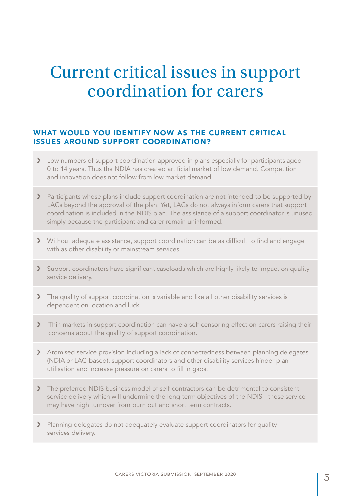## Current critical issues in support coordination for carers

### WHAT WOULD YOU IDENTIFY NOW AS THE CURRENT CRITICAL ISSUES AROUND SUPPORT COORDINATION?

- > Low numbers of support coordination approved in plans especially for participants aged 0 to 14 years. Thus the NDIA has created artificial market of low demand. Competition and innovation does not follow from low market demand.
- > Participants whose plans include support coordination are not intended to be supported by LACs beyond the approval of the plan. Yet, LACs do not always inform carers that support coordination is included in the NDIS plan. The assistance of a support coordinator is unused simply because the participant and carer remain uninformed.
- › Without adequate assistance, support coordination can be as difficult to find and engage with as other disability or mainstream services.
- > Support coordinators have significant caseloads which are highly likely to impact on quality service delivery.
- > The quality of support coordination is variable and like all other disability services is dependent on location and luck.
- > Thin markets in support coordination can have a self-censoring effect on carers raising their concerns about the quality of support coordination.
- > Atomised service provision including a lack of connectedness between planning delegates (NDIA or LAC-based), support coordinators and other disability services hinder plan utilisation and increase pressure on carers to fill in gaps.
- > The preferred NDIS business model of self-contractors can be detrimental to consistent service delivery which will undermine the long term objectives of the NDIS - these service may have high turnover from burn out and short term contracts.
- > Planning delegates do not adequately evaluate support coordinators for quality services delivery.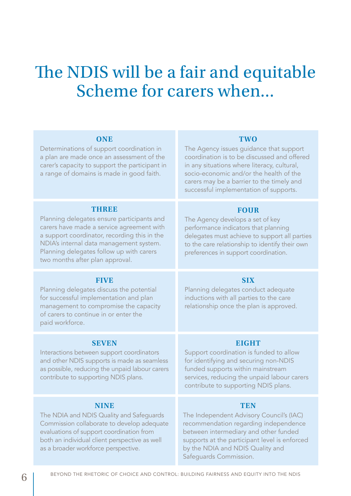## The NDIS will be a fair and equitable Scheme for carers when...

| <b>ONE</b><br>Determinations of support coordination in<br>a plan are made once an assessment of the<br>carer's capacity to support the participant in<br>a range of domains is made in good faith.                                                                        | <b>TWO</b><br>The Agency issues guidance that support<br>coordination is to be discussed and offered<br>in any situations where literacy, cultural,<br>socio-economic and/or the health of the<br>carers may be a barrier to the timely and<br>successful implementation of supports. |
|----------------------------------------------------------------------------------------------------------------------------------------------------------------------------------------------------------------------------------------------------------------------------|---------------------------------------------------------------------------------------------------------------------------------------------------------------------------------------------------------------------------------------------------------------------------------------|
| THREE<br>Planning delegates ensure participants and<br>carers have made a service agreement with<br>a support coordinator, recording this in the<br>NDIA's internal data management system.<br>Planning delegates follow up with carers<br>two months after plan approval. | <b>FOUR</b><br>The Agency develops a set of key<br>performance indicators that planning<br>delegates must achieve to support all parties<br>to the care relationship to identify their own<br>preferences in support coordination.                                                    |
| <b>FIVE</b><br>Planning delegates discuss the potential<br>for successful implementation and plan<br>management to compromise the capacity<br>of carers to continue in or enter the<br>paid workforce.                                                                     | <b>SIX</b><br>Planning delegates conduct adequate<br>inductions with all parties to the care<br>relationship once the plan is approved.                                                                                                                                               |
| <b>SEVEN</b><br>Interactions between support coordinators<br>and other NDIS supports is made as seamless<br>as possible, reducing the unpaid labour carers<br>contribute to supporting NDIS plans.                                                                         | <b>EIGHT</b><br>Support coordination is funded to allow<br>for identifying and securing non-NDIS<br>funded supports within mainstream<br>services, reducing the unpaid labour carers<br>contribute to supporting NDIS plans.                                                          |
| <b>NINE</b><br>The NDIA and NDIS Quality and Safeguards<br>Commission collaborate to develop adequate<br>evaluations of support coordination from<br>both an individual client perspective as well<br>as a broader workforce perspective.                                  | <b>TEN</b><br>The Independent Advisory Council's (IAC)<br>recommendation regarding independence<br>between intermediary and other funded<br>supports at the participant level is enforced<br>by the NDIA and NDIS Quality and                                                         |

Safeguards Commission.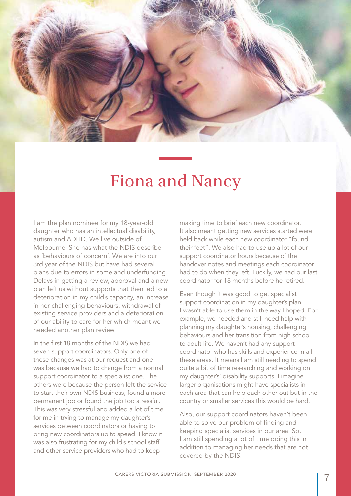

### Fiona and Nancy

I am the plan nominee for my 18-year-old daughter who has an intellectual disability, autism and ADHD. We live outside of Melbourne. She has what the NDIS describe as 'behaviours of concern'. We are into our 3rd year of the NDIS but have had several plans due to errors in some and underfunding. Delays in getting a review, approval and a new plan left us without supports that then led to a deterioration in my child's capacity, an increase in her challenging behaviours, withdrawal of existing service providers and a deterioration of our ability to care for her which meant we needed another plan review.

In the first 18 months of the NDIS we had seven support coordinators. Only one of these changes was at our request and one was because we had to change from a normal support coordinator to a specialist one. The others were because the person left the service to start their own NDIS business, found a more permanent job or found the job too stressful. This was very stressful and added a lot of time for me in trying to manage my daughter's services between coordinators or having to bring new coordinators up to speed. I know it was also frustrating for my child's school staff and other service providers who had to keep

making time to brief each new coordinator. It also meant getting new services started were held back while each new coordinator "found their feet". We also had to use up a lot of our support coordinator hours because of the handover notes and meetings each coordinator had to do when they left. Luckily, we had our last coordinator for 18 months before he retired.

Even though it was good to get specialist support coordination in my daughter's plan, I wasn't able to use them in the way I hoped. For example, we needed and still need help with planning my daughter's housing, challenging behaviours and her transition from high school to adult life. We haven't had any support coordinator who has skills and experience in all these areas. It means I am still needing to spend quite a bit of time researching and working on my daughter's' disability supports. I imagine larger organisations might have specialists in each area that can help each other out but in the country or smaller services this would be hard.

Also, our support coordinators haven't been able to solve our problem of finding and keeping specialist services in our area. So, I am still spending a lot of time doing this in addition to managing her needs that are not covered by the NDIS.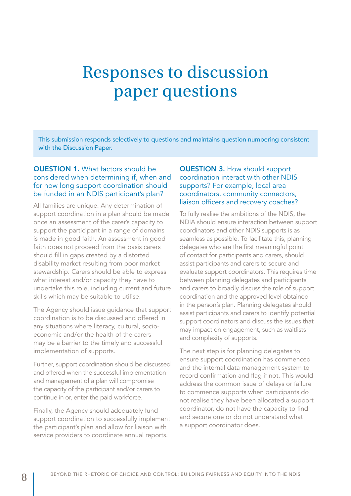## Responses to discussion paper questions

This submission responds selectively to questions and maintains question numbering consistent with the Discussion Paper.

#### QUESTION 1. What factors should be considered when determining if, when and for how long support coordination should be funded in an NDIS participant's plan?

All families are unique. Any determination of support coordination in a plan should be made once an assessment of the carer's capacity to support the participant in a range of domains is made in good faith. An assessment in good faith does not proceed from the basis carers should fill in gaps created by a distorted disability market resulting from poor market stewardship. Carers should be able to express what interest and/or capacity they have to undertake this role, including current and future skills which may be suitable to utilise.

The Agency should issue guidance that support coordination is to be discussed and offered in any situations where literacy, cultural, socioeconomic and/or the health of the carers may be a barrier to the timely and successful implementation of supports.

Further, support coordination should be discussed and offered when the successful implementation and management of a plan will compromise the capacity of the participant and/or carers to continue in or, enter the paid workforce.

Finally, the Agency should adequately fund support coordination to successfully implement the participant's plan and allow for liaison with service providers to coordinate annual reports.

#### QUESTION 3. How should support coordination interact with other NDIS supports? For example, local area coordinators, community connectors, liaison officers and recovery coaches?

To fully realise the ambitions of the NDIS, the NDIA should ensure interaction between support coordinators and other NDIS supports is as seamless as possible. To facilitate this, planning delegates who are the first meaningful point of contact for participants and carers, should assist participants and carers to secure and evaluate support coordinators. This requires time between planning delegates and participants and carers to broadly discuss the role of support coordination and the approved level obtained in the person's plan. Planning delegates should assist participants and carers to identify potential support coordinators and discuss the issues that may impact on engagement, such as waitlists and complexity of supports.

The next step is for planning delegates to ensure support coordination has commenced and the internal data management system to record confirmation and flag if not. This would address the common issue of delays or failure to commence supports when participants do not realise they have been allocated a support coordinator, do not have the capacity to find and secure one or do not understand what a support coordinator does.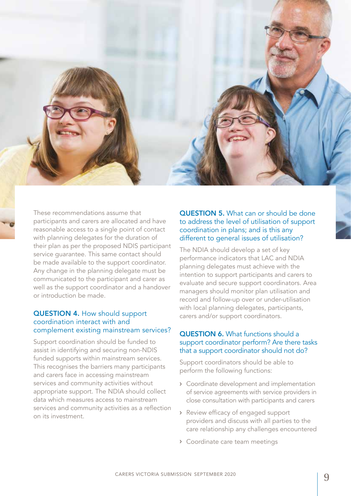

These recommendations assume that participants and carers are allocated and have reasonable access to a single point of contact with planning delegates for the duration of their plan as per the proposed NDIS participant service guarantee. This same contact should be made available to the support coordinator. Any change in the planning delegate must be communicated to the participant and carer as well as the support coordinator and a handover or introduction be made.

#### QUESTION 4. How should support coordination interact with and complement existing mainstream services?

Support coordination should be funded to assist in identifying and securing non-NDIS funded supports within mainstream services. This recognises the barriers many participants and carers face in accessing mainstream services and community activities without appropriate support. The NDIA should collect data which measures access to mainstream services and community activities as a reflection on its investment.

#### QUESTION 5. What can or should be done to address the level of utilisation of support coordination in plans; and is this any different to general issues of utilisation?

The NDIA should develop a set of key performance indicators that LAC and NDIA planning delegates must achieve with the intention to support participants and carers to evaluate and secure support coordinators. Area managers should monitor plan utilisation and record and follow-up over or under-utilisation with local planning delegates, participants, carers and/or support coordinators.

#### QUESTION 6. What functions should a support coordinator perform? Are there tasks that a support coordinator should not do?

Support coordinators should be able to perform the following functions:

- › Coordinate development and implementation of service agreements with service providers in close consultation with participants and carers
- › Review efficacy of engaged support providers and discuss with all parties to the care relationship any challenges encountered
- › Coordinate care team meetings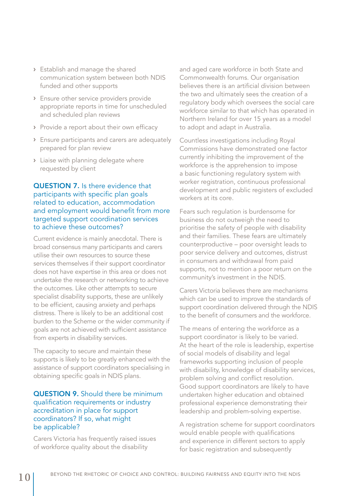- › Establish and manage the shared communication system between both NDIS funded and other supports
- › Ensure other service providers provide appropriate reports in time for unscheduled and scheduled plan reviews
- › Provide a report about their own efficacy
- › Ensure participants and carers are adequately prepared for plan review
- › Liaise with planning delegate where requested by client

#### QUESTION 7. Is there evidence that participants with specific plan goals related to education, accommodation and employment would benefit from more targeted support coordination services to achieve these outcomes?

Current evidence is mainly anecdotal. There is broad consensus many participants and carers utilise their own resources to source these services themselves if their support coordinator does not have expertise in this area or does not undertake the research or networking to achieve the outcomes. Like other attempts to secure specialist disability supports, these are unlikely to be efficient, causing anxiety and perhaps distress. There is likely to be an additional cost burden to the Scheme or the wider community if goals are not achieved with sufficient assistance from experts in disability services.

The capacity to secure and maintain these supports is likely to be greatly enhanced with the assistance of support coordinators specialising in obtaining specific goals in NDIS plans.

#### QUESTION 9. Should there be minimum qualification requirements or industry accreditation in place for support coordinators? If so, what might be applicable?

Carers Victoria has frequently raised issues of workforce quality about the disability

and aged care workforce in both State and Commonwealth forums. Our organisation believes there is an artificial division between the two and ultimately sees the creation of a regulatory body which oversees the social care workforce similar to that which has operated in Northern Ireland for over 15 years as a model to adopt and adapt in Australia.

Countless investigations including Royal Commissions have demonstrated one factor currently inhibiting the improvement of the workforce is the apprehension to impose a basic functioning regulatory system with worker registration, continuous professional development and public registers of excluded workers at its core.

Fears such regulation is burdensome for business do not outweigh the need to prioritise the safety of people with disability and their families. These fears are ultimately counterproductive – poor oversight leads to poor service delivery and outcomes, distrust in consumers and withdrawal from paid supports, not to mention a poor return on the community's investment in the NDIS.

Carers Victoria believes there are mechanisms which can be used to improve the standards of support coordination delivered through the NDIS to the benefit of consumers and the workforce.

The means of entering the workforce as a support coordinator is likely to be varied. At the heart of the role is leadership, expertise of social models of disability and legal frameworks supporting inclusion of people with disability, knowledge of disability services, problem solving and conflict resolution. Good support coordinators are likely to have undertaken higher education and obtained professional experience demonstrating their leadership and problem-solving expertise.

A registration scheme for support coordinators would enable people with qualifications and experience in different sectors to apply for basic registration and subsequently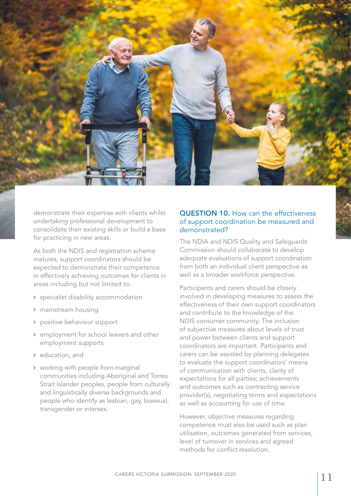demonstrate their expertise with clients whilst undertaking professional development to consolidate their existing skills or build a base for practicing in new areas.

As both the NDIS and registration scheme matures, support coordinators should be expected to demonstrate their competence in effectively achieving outcomes for clients in areas including but not limited to:

- › specialist disability accommodation
- › mainstream housing
- › positive behaviour support
- › employment for school leavers and other employment supports
- › education, and
- › working with people from marginal communities including Aboriginal and Torres Strait Islander peoples, people from culturally and linguistically diverse backgrounds and people who identify as lesbian, gay, bisexual, transgender or intersex.

#### QUESTION 10. How can the effectiveness of support coordination be measured and demonstrated?

The NDIA and NDIS Quality and Safeguards Commission should collaborate to develop adequate evaluations of support coordination from both an individual client perspective as well as a broader workforce perspective.

Participants and carers should be closely involved in developing measures to assess the effectiveness of their own support coordinators and contribute to the knowledge of the NDIS consumer community. The inclusion of subjective measures about levels of trust and power between clients and support coordinators are important. Participants and carers can be assisted by planning delegates to evaluate the support coordinators' means of communication with clients, clarity of expectations for all parties; achievements and outcomes such as contracting service provider(s), negotiating terms and expectations as well as accounting for use of time.

However, objective measures regarding competence must also be used such as plan utilisation, outcomes generated from services, level of turnover in services and agreed methods for conflict resolution.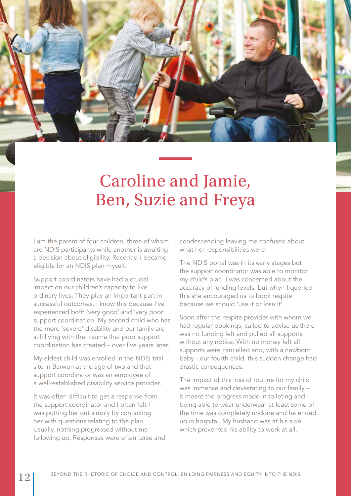

## Caroline and Jamie, Ben, Suzie and Freya

I am the parent of four children, three of whom are NDIS participants while another is awaiting a decision about eligibility. Recently, I became eligible for an NDIS plan myself.

Support coordinators have had a crucial impact on our children's capacity to live ordinary lives. They play an important part in successful outcomes. I know this because I've experienced both 'very good' and 'very poor' support coordination. My second child who has the more 'severe' disability and our family are still living with the trauma that poor support coordination has created – over five years later.

My eldest child was enrolled in the NDIS trial site in Barwon at the age of two and that support coordinator was an employee of a well-established disability service provider.

It was often difficult to get a response from the support coordinator and I often felt I was putting her out simply by contacting her with questions relating to the plan. Usually, nothing progressed without me following up. Responses were often terse and condescending leaving me confused about what her responsibilities were.

The NDIS portal was in its early stages but the support coordinator was able to monitor my child's plan. I was concerned about the accuracy of funding levels, but when I queried this she encouraged us to book respite because we should 'use it or lose it'.

Soon after the respite provider with whom we had regular bookings, called to advise us there was no funding left and pulled all supports without any notice. With no money left all supports were cancelled and, with a newborn baby - our fourth child, this sudden change had drastic consequences.

The impact of this loss of routine for my child was immense and devastating to our family – it meant the progress made in toileting and being able to wear underwear at least some of the time was completely undone and he ended up in hospital. My husband was at his side which prevented his ability to work at all.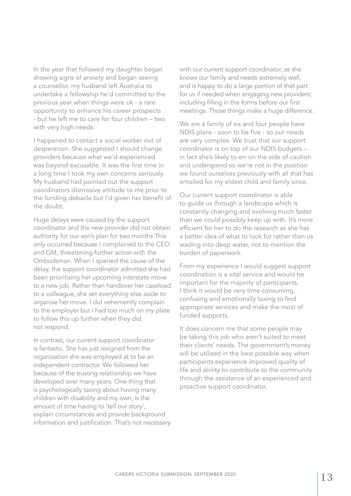In the year that followed my daughter began showing signs of anxiety and began seeing a counsellor, my husband left Australia to undertake a fellowship he'd committed to the previous year when things were ok - a rare opportunity to enhance his career prospects - but he left me to care for four children – two with very high needs.

I happened to contact a social worker out of desperation. She suggested I should change providers because what we'd experienced was beyond excusable. It was the first time in a long time I took my own concerns seriously. My husband had pointed out the support coordinators dismissive attitude to me prior to the funding debacle but I'd given her benefit of the doubt.

Huge delays were caused by the support coordinator and the new provider did not obtain authority for our son's plan for two months This only occurred because I complained to the CEO and GM, threatening further action with the Ombudsman. When I queried the cause of the delay, the support coordinator admitted she had been prioritising her upcoming interstate move to a new job. Rather than handover her caseload to a colleague, she set everything else aside to organise her move. I did vehemently complain to the employer but I had too much on my plate to follow this up further when they did not respond.

In contrast, our current support coordinator is fantastic. She has just resigned from the organisation she was employed at to be an independent contractor. We followed her because of the trusting relationship we have developed over many years. One thing that is psychologically taxing about having many children with disability and my own, is the amount of time having to 'tell our story', explain circumstances and provide background information and justification. That's not necessary with our current support coordinator, as she knows our family and needs extremely well, and is happy to do a large portion of that part for us if needed when engaging new providers; including filling in the forms before our first meetings. Those things make a huge difference.

We are a family of six and four people have NDIS plans - soon to be five - so our needs are very complex. We trust that our support coordinator is on top of our NDIS budgets – in fact she's likely to err on the side of caution and underspend so we're not in the position we found ourselves previously with all that has entailed for my eldest child and family since.

Our current support coordinator is able to guide us through a landscape which is constantly changing and evolving much faster than we could possibly keep up with. It's more efficient for her to do the research as she has a better idea of what to look for rather than us wading into deep water, not to mention the burden of paperwork.

From my experience I would suggest support coordination is a vital service and would be important for the majority of participants. I think it would be very time consuming, confusing and emotionally taxing to find appropriate services and make the most of funded supports.

It does concern me that some people may be taking this job who aren't suited to meet their clients' needs. The government's money will be utilised in the best possible way when participants experience improved quality of life and ability to contribute to the community through the assistance of an experienced and proactive support coordinator.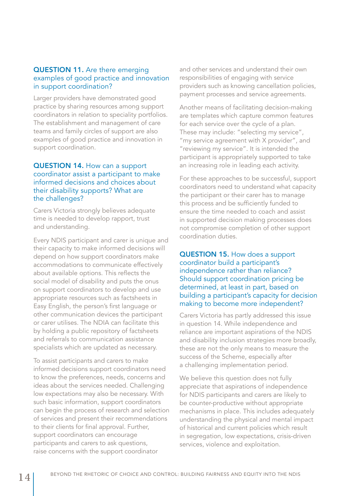#### QUESTION 11. Are there emerging examples of good practice and innovation in support coordination?

Larger providers have demonstrated good practice by sharing resources among support coordinators in relation to speciality portfolios. The establishment and management of care teams and family circles of support are also examples of good practice and innovation in support coordination.

#### QUESTION 14. How can a support coordinator assist a participant to make informed decisions and choices about their disability supports? What are the challenges?

Carers Victoria strongly believes adequate time is needed to develop rapport, trust and understanding.

Every NDIS participant and carer is unique and their capacity to make informed decisions will depend on how support coordinators make accommodations to communicate effectively about available options. This reflects the social model of disability and puts the onus on support coordinators to develop and use appropriate resources such as factsheets in Easy English, the person's first language or other communication devices the participant or carer utilises. The NDIA can facilitate this by holding a public repository of factsheets and referrals to communication assistance specialists which are updated as necessary.

To assist participants and carers to make informed decisions support coordinators need to know the preferences, needs, concerns and ideas about the services needed. Challenging low expectations may also be necessary. With such basic information, support coordinators can begin the process of research and selection of services and present their recommendations to their clients for final approval. Further, support coordinators can encourage participants and carers to ask questions, raise concerns with the support coordinator

and other services and understand their own responsibilities of engaging with service providers such as knowing cancellation policies, payment processes and service agreements.

Another means of facilitating decision-making are templates which capture common features for each service over the cycle of a plan. These may include: "selecting my service", "my service agreement with X provider", and "reviewing my service". It is intended the participant is appropriately supported to take an increasing role in leading each activity.

For these approaches to be successful, support coordinators need to understand what capacity the participant or their carer has to manage this process and be sufficiently funded to ensure the time needed to coach and assist in supported decision making processes does not compromise completion of other support coordination duties.

#### QUESTION 15. How does a support coordinator build a participant's independence rather than reliance? Should support coordination pricing be determined, at least in part, based on building a participant's capacity for decision making to become more independent?

Carers Victoria has partly addressed this issue in question 14. While independence and reliance are important aspirations of the NDIS and disability inclusion strategies more broadly, these are not the only means to measure the success of the Scheme, especially after a challenging implementation period.

We believe this question does not fully appreciate that aspirations of independence for NDIS participants and carers are likely to be counter-productive without appropriate mechanisms in place. This includes adequately understanding the physical and mental impact of historical and current policies which result in segregation, low expectations, crisis-driven services, violence and exploitation.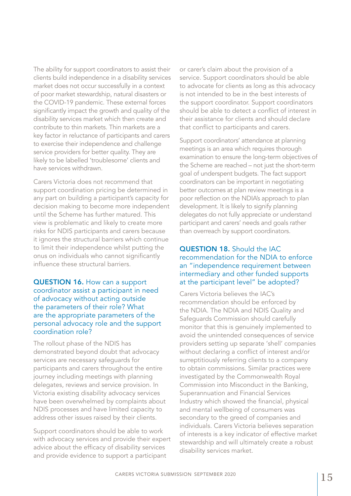The ability for support coordinators to assist their clients build independence in a disability services market does not occur successfully in a context of poor market stewardship, natural disasters or the COVID-19 pandemic. These external forces significantly impact the growth and quality of the disability services market which then create and contribute to thin markets. Thin markets are a key factor in reluctance of participants and carers to exercise their independence and challenge service providers for better quality. They are likely to be labelled 'troublesome' clients and have services withdrawn.

Carers Victoria does not recommend that support coordination pricing be determined in any part on building a participant's capacity for decision making to become more independent until the Scheme has further matured. This view is problematic and likely to create more risks for NDIS participants and carers because it ignores the structural barriers which continue to limit their independence whilst putting the onus on individuals who cannot significantly influence these structural barriers.

#### QUESTION 16. How can a support coordinator assist a participant in need of advocacy without acting outside the parameters of their role? What are the appropriate parameters of the personal advocacy role and the support coordination role?

The rollout phase of the NDIS has demonstrated beyond doubt that advocacy services are necessary safeguards for participants and carers throughout the entire journey including meetings with planning delegates, reviews and service provision. In Victoria existing disability advocacy services have been overwhelmed by complaints about NDIS processes and have limited capacity to address other issues raised by their clients.

Support coordinators should be able to work with advocacy services and provide their expert advice about the efficacy of disability services and provide evidence to support a participant

or carer's claim about the provision of a service. Support coordinators should be able to advocate for clients as long as this advocacy is not intended to be in the best interests of the support coordinator. Support coordinators should be able to detect a conflict of interest in their assistance for clients and should declare that conflict to participants and carers.

Support coordinators' attendance at planning meetings is an area which requires thorough examination to ensure the long-term objectives of the Scheme are reached – not just the short-term goal of underspent budgets. The fact support coordinators can be important in negotiating better outcomes at plan review meetings is a poor reflection on the NDIA's approach to plan development. It is likely to signify planning delegates do not fully appreciate or understand participant and carers' needs and goals rather than overreach by support coordinators.

#### QUESTION 18. Should the IAC recommendation for the NDIA to enforce an "independence requirement between intermediary and other funded supports at the participant level" be adopted?

Carers Victoria believes the IAC's recommendation should be enforced by the NDIA. The NDIA and NDIS Quality and Safeguards Commission should carefully monitor that this is genuinely implemented to avoid the unintended consequences of service providers setting up separate 'shell' companies without declaring a conflict of interest and/or surreptitiously referring clients to a company to obtain commissions. Similar practices were investigated by the Commonwealth Royal Commission into Misconduct in the Banking, Superannuation and Financial Services Industry which showed the financial, physical and mental wellbeing of consumers was secondary to the greed of companies and individuals. Carers Victoria believes separation of interests is a key indicator of effective market stewardship and will ultimately create a robust disability services market.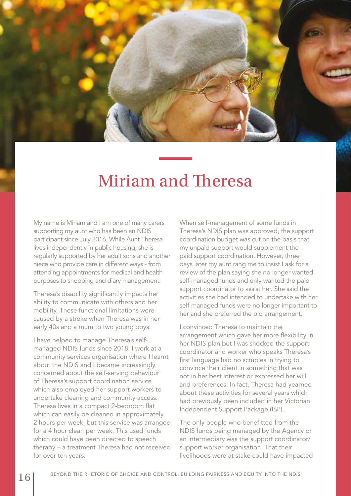

### Miriam and Theresa

My name is Miriam and I am one of many carers supporting my aunt who has been an NDIS participant since July 2016. While Aunt Theresa lives independently in public housing, she is regularly supported by her adult sons and another niece who provide care in different ways - from attending appointments for medical and health purposes to shopping and diary management.

Theresa's disability significantly impacts her ability to communicate with others and her mobility. These functional limitations were caused by a stroke when Theresa was in her early 40s and a mum to two young boys.

I have helped to manage Theresa's selfmanaged NDIS funds since 2018. I work at a community services organisation where I learnt about the NDIS and I became increasingly concerned about the self-serving behaviour of Theresa's support coordination service which also employed her support workers to undertake cleaning and community access. Theresa lives in a compact 2-bedroom flat which can easily be cleaned in approximately 2 hours per week, but this service was arranged for a 4 hour clean per week. This used funds which could have been directed to speech therapy – a treatment Theresa had not received for over ten years.

When self-management of some funds in Theresa's NDIS plan was approved, the support coordination budget was cut on the basis that my unpaid support would supplement the paid support coordination. However, three days later my aunt rang me to insist I ask for a review of the plan saying she no longer wanted self-managed funds and only wanted the paid support coordinator to assist her. She said the activities she had intended to undertake with her self-managed funds were no longer important to her and she preferred the old arrangement.

I convinced Theresa to maintain the arrangement which gave her more flexibility in her NDIS plan but I was shocked the support coordinator and worker who speaks Theresa's first language had no scruples in trying to convince their client in something that was not in her best interest or expressed her will and preferences. In fact, Theresa had yearned about these activities for several years which had previously been included in her Victorian Independent Support Package (ISP).

The only people who benefitted from the NDIS funds being managed by the Agency or an intermediary was the support coordinator/ support worker organisation. That their livelihoods were at stake could have impacted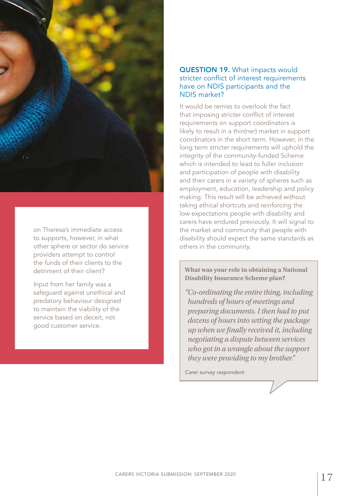

on Theresa's immediate access to supports, however, in what other sphere or sector do service providers attempt to control the funds of their clients to the detriment of their client?

Input from her family was a safeguard against unethical and predatory behaviour designed to maintain the viability of the service based on deceit, not good customer service.

#### QUESTION 19. What impacts would stricter conflict of interest requirements have on NDIS participants and the NDIS market?

It would be remiss to overlook the fact that imposing stricter conflict of interest requirements on support coordinators is likely to result in a thin(ner) market in support coordinators in the short term. However, in the long term stricter requirements will uphold the integrity of the community-funded Scheme which is intended to lead to fuller inclusion and participation of people with disability and their carers in a variety of spheres such as employment, education, leadership and policy making. This result will be achieved without taking ethical shortcuts and reinforcing the low expectations people with disability and carers have endured previously. It will signal to the market and community that people with disability should expect the same standards as others in the community.

**What was your role in obtaining a National Disability Insurance Scheme plan?**

*"Co-ordinating the entire thing, including hundreds of hours of meetings and preparing documents. I then had to put dozens of hours into setting the package up when we finally received it, including negotiating a dispute between services who got in a wrangle about the support they were providing to my brother."*

*Carer survey respondent*